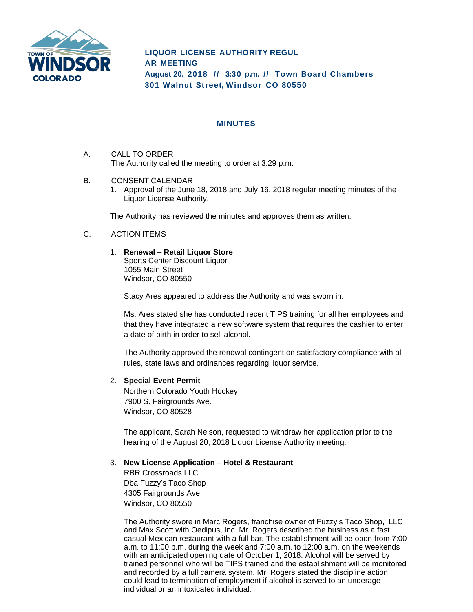

# **LIQUOR LICENSE AUTHORITY REGUL AR MEETING August 20, 2018 // 3:30 p.m. // Town Board Chambers 301 Walnut Street, Windsor CO 80550**

## **MINUTES**

- A. CALL TO ORDER The Authority called the meeting to order at 3:29 p.m.
- B. CONSENT CALENDAR
	- 1. Approval of the June 18, 2018 and July 16, 2018 regular meeting minutes of the Liquor License Authority.

The Authority has reviewed the minutes and approves them as written.

# C. ACTION ITEMS

1. **Renewal – Retail Liquor Store** Sports Center Discount Liquor 1055 Main Street Windsor, CO 80550

Stacy Ares appeared to address the Authority and was sworn in.

Ms. Ares stated she has conducted recent TIPS training for all her employees and that they have integrated a new software system that requires the cashier to enter a date of birth in order to sell alcohol.

The Authority approved the renewal contingent on satisfactory compliance with all rules, state laws and ordinances regarding liquor service.

## 2. **Special Event Permit**

Northern Colorado Youth Hockey 7900 S. Fairgrounds Ave. Windsor, CO 80528

The applicant, Sarah Nelson, requested to withdraw her application prior to the hearing of the August 20, 2018 Liquor License Authority meeting.

#### 3. **New License Application – Hotel & Restaurant**

RBR Crossroads LLC Dba Fuzzy's Taco Shop 4305 Fairgrounds Ave Windsor, CO 80550

The Authority swore in Marc Rogers, franchise owner of Fuzzy's Taco Shop, LLC and Max Scott with Oedipus, Inc. Mr. Rogers described the business as a fast casual Mexican restaurant with a full bar. The establishment will be open from 7:00 a.m. to 11:00 p.m. during the week and 7:00 a.m. to 12:00 a.m. on the weekends with an anticipated opening date of October 1, 2018. Alcohol will be served by trained personnel who will be TIPS trained and the establishment will be monitored and recorded by a full camera system. Mr. Rogers stated the discipline action could lead to termination of employment if alcohol is served to an underage individual or an intoxicated individual.